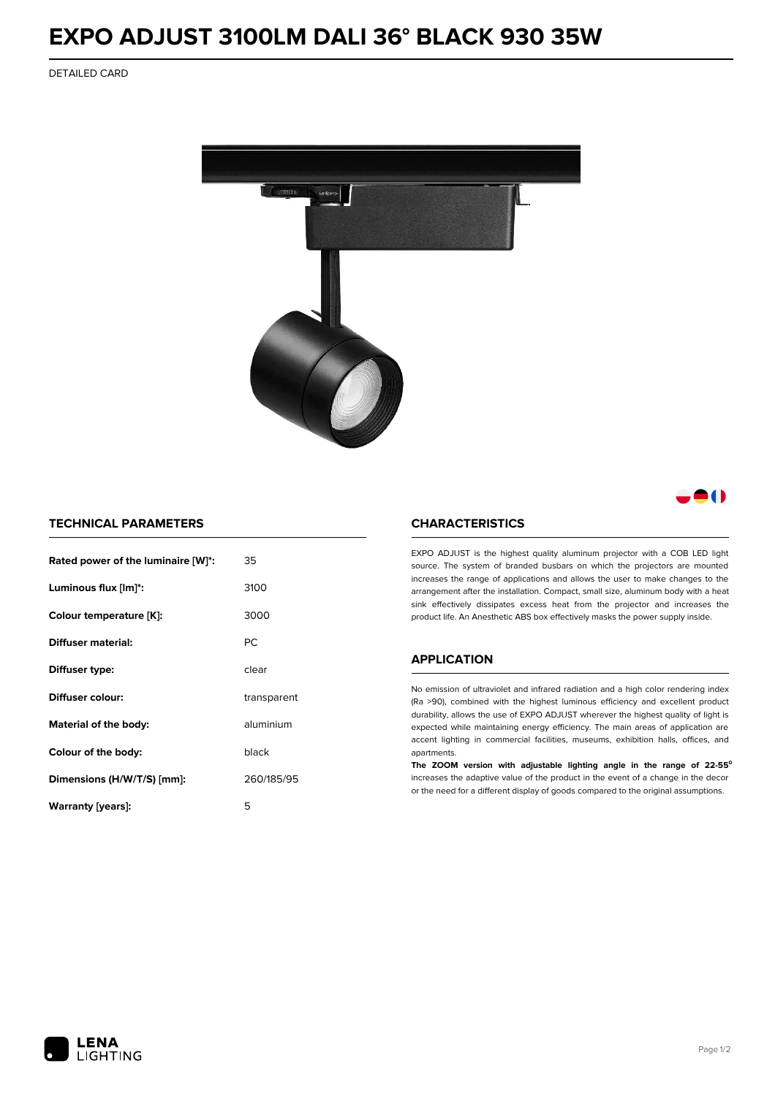# **EXPO ADJUST 3100LM DALI 36° BLACK 930 35W**

DETAILED CARD



# 80

## **TECHNICAL PARAMETERS**

| Rated power of the luminaire [W]*: | 35          |
|------------------------------------|-------------|
| Luminous flux [lm]*:               | 3100        |
| Colour temperature [K]:            | 3000        |
| <b>Diffuser material:</b>          | РC          |
| Diffuser type:                     | clear       |
| Diffuser colour:                   | transparent |
| Material of the body:              | aluminium   |
| Colour of the body:                | black       |
| Dimensions (H/W/T/S) [mm]:         | 260/185/95  |
| Warranty (years):                  | 5           |

#### **CHARACTERISTICS**

EXPO ADJUST is the highest quality aluminum projector with a COB LED light source. The system of branded busbars on which the projectors are mounted increases the range of applications and allows the user to make changes to the arrangement after the installation. Compact, small size, aluminum body with a heat sink effectively dissipates excess heat from the projector and increases the product life. An Anesthetic ABS box effectively masks the power supply inside.

### **APPLICATION**

No emission of ultraviolet and infrared radiation and a high color rendering index (Ra >90), combined with the highest luminous efficiency and excellent product durability, allows the use of EXPO ADJUST wherever the highest quality of light is expected while maintaining energy efficiency. The main areas of application are accent lighting in commercial facilities, museums, exhibition halls, offices, and apartments.

**The ZOOM version with adjustable lighting angle in the range of 22-55⁰** increases the adaptive value of the product in the event of a change in the decor or the need for a different display of goods compared to the original assumptions.